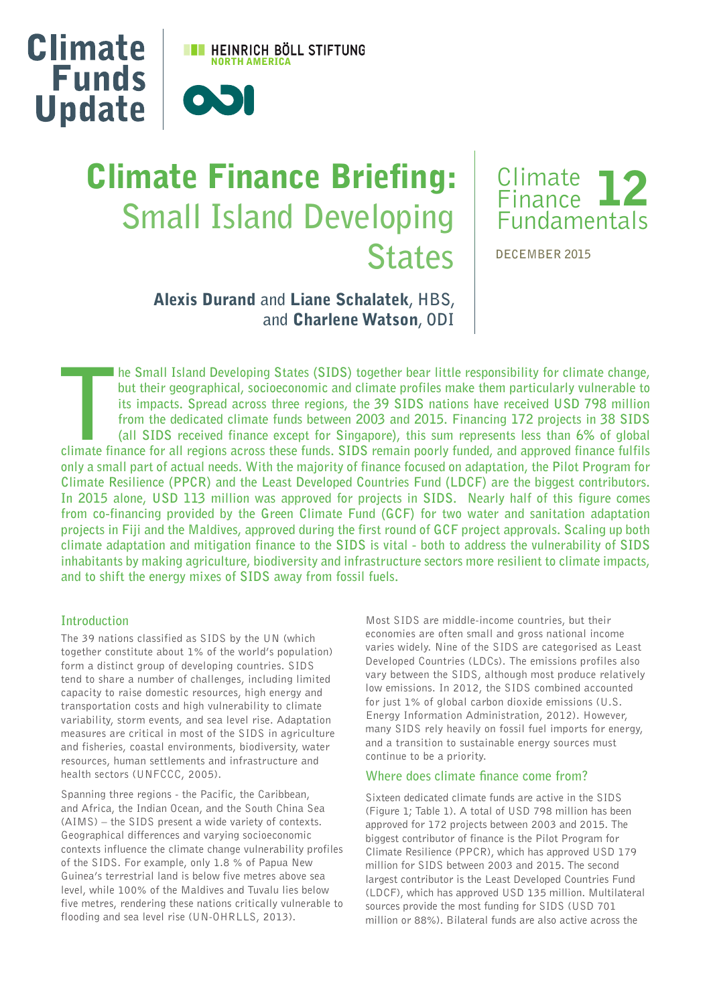

# **Climate Finance Briefing: Small Island Developing States**



**DECEMBER 2015**

## Alexis Durand **and** Liane Schalatek**, HBS, and** Charlene Watson**, ODI**

**TRENT THE SMALL ISLAND Developing States (SIDS) together bear little responsibility for climate change, but their geographical, socioeconomic and climate profiles make them particularly vulnerable to its impacts. Spread a he Small Island Developing States (SIDS) together bear little responsibility for climate change, but their geographical, socioeconomic and climate profiles make them particularly vulnerable to its impacts. Spread across three regions, the 39 SIDS nations have received USD 798 million from the dedicated climate funds between 2003 and 2015. Financing 172 projects in 38 SIDS (all SIDS received finance except for Singapore), this sum represents less than 6% of global only a small part of actual needs. With the majority of finance focused on adaptation, the Pilot Program for Climate Resilience (PPCR) and the Least Developed Countries Fund (LDCF) are the biggest contributors. In 2015 alone, USD 113 million was approved for projects in SIDS. Nearly half of this figure comes from co-financing provided by the Green Climate Fund (GCF) for two water and sanitation adaptation projects in Fiji and the Maldives, approved during the first round of GCF project approvals. Scaling up both climate adaptation and mitigation finance to the SIDS is vital - both to address the vulnerability of SIDS inhabitants by making agriculture, biodiversity and infrastructure sectors more resilient to climate impacts, and to shift the energy mixes of SIDS away from fossil fuels.**

## **Introduction**

The 39 nations classified as SIDS by the UN (which together constitute about 1% of the world's population) form a distinct group of developing countries. SIDS tend to share a number of challenges, including limited capacity to raise domestic resources, high energy and transportation costs and high vulnerability to climate variability, storm events, and sea level rise. Adaptation measures are critical in most of the SIDS in agriculture and fisheries, coastal environments, biodiversity, water resources, human settlements and infrastructure and health sectors (UNFCCC, 2005).

Spanning three regions - the Pacific, the Caribbean, and Africa, the Indian Ocean, and the South China Sea (AIMS) – the SIDS present a wide variety of contexts. Geographical differences and varying socioeconomic contexts influence the climate change vulnerability profiles of the SIDS. For example, only 1.8 % of Papua New Guinea's terrestrial land is below five metres above sea level, while 100% of the Maldives and Tuvalu lies below five metres, rendering these nations critically vulnerable to flooding and sea level rise (UN-OHRLLS, 2013).

Most SIDS are middle-income countries, but their economies are often small and gross national income varies widely. Nine of the SIDS are categorised as Least Developed Countries (LDCs). The emissions profiles also vary between the SIDS, although most produce relatively low emissions. In 2012, the SIDS combined accounted for just 1% of global carbon dioxide emissions (U.S. Energy Information Administration, 2012). However, many SIDS rely heavily on fossil fuel imports for energy, and a transition to sustainable energy sources must continue to be a priority.

## **Where does climate fnance come from?**

Sixteen dedicated climate funds are active in the SIDS (Figure 1; Table 1). A total of USD 798 million has been approved for 172 projects between 2003 and 2015. The biggest contributor of finance is the Pilot Program for Climate Resilience (PPCR), which has approved USD 179 million for SIDS between 2003 and 2015. The second largest contributor is the Least Developed Countries Fund (LDCF), which has approved USD 135 million. Multilateral sources provide the most funding for SIDS (USD 701 million or 88%). Bilateral funds are also active across the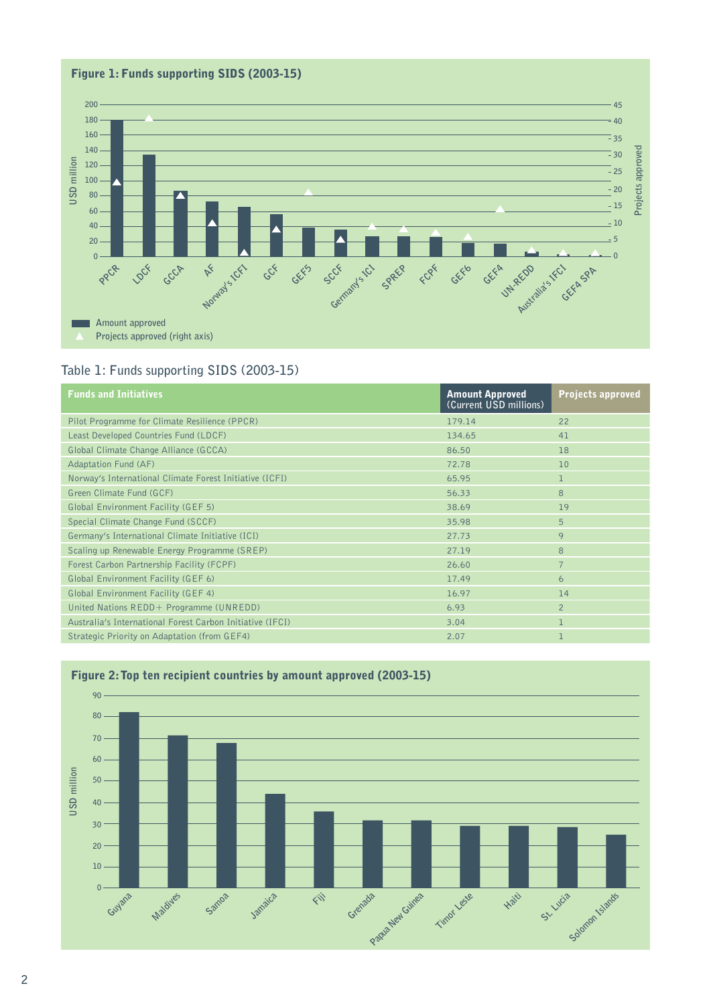

## **Table 1: Funds supporting SIDS (2003-15)**

| <b>Funds and Initiatives</b>                              | <b>Amount Approved</b><br>(Current USD millions) | <b>Projects approved</b> |
|-----------------------------------------------------------|--------------------------------------------------|--------------------------|
| Pilot Programme for Climate Resilience (PPCR)             | 179.14                                           | 22                       |
| Least Developed Countries Fund (LDCF)                     | 134.65                                           | 41                       |
| Global Climate Change Alliance (GCCA)                     | 86.50                                            | 18                       |
| <b>Adaptation Fund (AF)</b>                               | 72.78                                            | 10                       |
| Norway's International Climate Forest Initiative (ICFI)   | 65.95                                            |                          |
| Green Climate Fund (GCF)                                  | 56.33                                            | 8                        |
| Global Environment Facility (GEF 5)                       | 38.69                                            | 19                       |
| Special Climate Change Fund (SCCF)                        | 35.98                                            | 5                        |
| Germany's International Climate Initiative (ICI)          | 27.73                                            | 9                        |
| Scaling up Renewable Energy Programme (SREP)              | 27.19                                            | 8                        |
| Forest Carbon Partnership Facility (FCPF)                 | 26.60                                            | $\overline{7}$           |
| Global Environment Facility (GEF 6)                       | 17.49                                            | 6                        |
| Global Environment Facility (GEF 4)                       | 16.97                                            | 14                       |
| United Nations REDD+ Programme (UNREDD)                   | 6.93                                             | $\overline{2}$           |
| Australia's International Forest Carbon Initiative (IFCI) | 3.04                                             | T.                       |
| Strategic Priority on Adaptation (from GEF4)              | 2.07                                             | 1                        |



## Figure 2: Top ten recipient countries by amount approved (2003-15)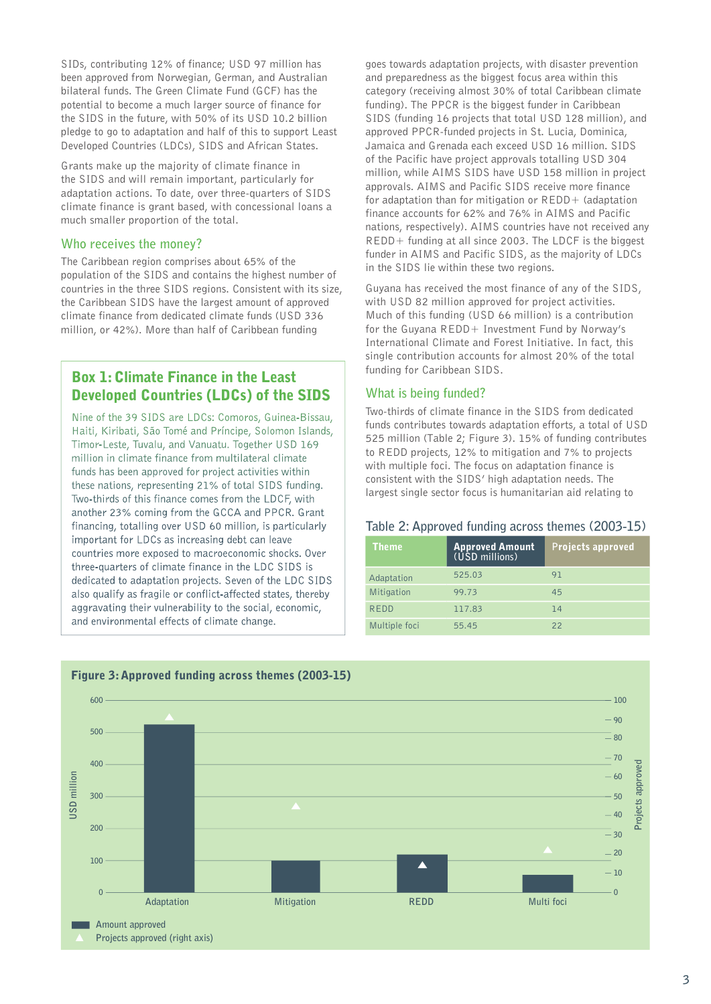SIDs, contributing 12% of finance; USD 97 million has been approved from Norwegian, German, and Australian bilateral funds. The Green Climate Fund (GCF) has the potential to become a much larger source of finance for the SIDS in the future, with 50% of its USD 10.2 billion pledge to go to adaptation and half of this to support Least Developed Countries (LDCs), SIDS and African States.

Grants make up the majority of climate finance in the SIDS and will remain important, particularly for adaptation actions. To date, over three-quarters of SIDS climate finance is grant based, with concessional loans a much smaller proportion of the total.

#### **Who receives the money?**

The Caribbean region comprises about 65% of the population of the SIDS and contains the highest number of countries in the three SIDS regions. Consistent with its size, the Caribbean SIDS have the largest amount of approved climate finance from dedicated climate funds (USD 336 million, or 42%). More than half of Caribbean funding

## Box 1: Climate Finance in the Least Developed Countries (LDCs) of the SIDS

Nine of the 39 SIDS are LDCs: Comoros, Guinea-Bissau, Haiti, Kiribati, São Tomé and Príncipe, Solomon Islands, Timor-Leste, Tuvalu, and Vanuatu. Together USD 169 million in climate finance from multilateral climate funds has been approved for project activities within these nations, representing 21% of total SIDS funding. Two-thirds of this finance comes from the LDCF, with another 23% coming from the GCCA and PPCR. Grant financing, totalling over USD 60 million, is particularly important for LDCs as increasing debt can leave countries more exposed to macroeconomic shocks. Over three-quarters of climate finance in the LDC SIDS is dedicated to adaptation projects. Seven of the LDC SIDS also qualify as fragile or conflict-affected states, thereby aggravating their vulnerability to the social, economic, and environmental effects of climate change.

goes towards adaptation projects, with disaster prevention and preparedness as the biggest focus area within this category (receiving almost 30% of total Caribbean climate funding). The PPCR is the biggest funder in Caribbean SIDS (funding 16 projects that total USD 128 million), and approved PPCR-funded projects in St. Lucia, Dominica, Jamaica and Grenada each exceed USD 16 million. SIDS of the Pacific have project approvals totalling USD 304 million, while AIMS SIDS have USD 158 million in project approvals. AIMS and Pacific SIDS receive more finance for adaptation than for mitigation or REDD+ (adaptation finance accounts for 62% and 76% in AIMS and Pacific nations, respectively). AIMS countries have not received any REDD+ funding at all since 2003. The LDCF is the biggest funder in AIMS and Pacific SIDS, as the majority of LDCs in the SIDS lie within these two regions.

Guyana has received the most finance of any of the SIDS, with USD 82 million approved for project activities. Much of this funding (USD 66 million) is a contribution for the Guyana REDD+ Investment Fund by Norway's International Climate and Forest Initiative. In fact, this single contribution accounts for almost 20% of the total funding for Caribbean SIDS.

#### **What is being funded?**

Two-thirds of climate finance in the SIDS from dedicated funds contributes towards adaptation efforts, a total of USD 525 million (Table 2; Figure 3). 15% of funding contributes to REDD projects, 12% to mitigation and 7% to projects with multiple foci. The focus on adaptation finance is consistent with the SIDS' high adaptation needs. The largest single sector focus is humanitarian aid relating to

#### **Table 2: Approved funding across themes (2003-15)**

| <b>Theme</b>  | <b>Approved Amount</b><br>(USD millions) | <b>Projects approved</b> |
|---------------|------------------------------------------|--------------------------|
| Adaptation    | 525.03                                   | 91                       |
| Mitigation    | 99.73                                    | 45                       |
| REDD          | 117.83                                   | 74                       |
| Multiple foci | 55.45                                    | 22                       |